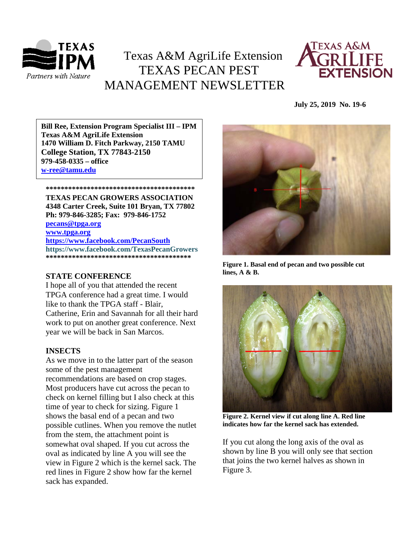

# Texas A&M AgriLife Extension TEXAS PECAN PEST MANAGEMENT NEWSLETTER



 **July 25, 2019 No. 19-6**

**\*\*\*\*\*\*\*\*\*\*\*\*\*\*\*\*\*\*\*\*\*\*\*\*\*\*\*\*\*\*\*\*\*\*\*\*\*\*\*\* 1470 William D. Fitch Parkway, 2150 TAMU Bill Ree, Extension Program Specialist III – IPM Texas A&M AgriLife Extension College Station, TX 77843-2150 979-458-0335 – office [w-ree@tamu.edu](mailto:w-ree@tamu.edu)**

**\*\*\*\*\*\*\*\*\*\*\*\*\*\*\*\*\*\*\*\*\*\*\*\*\*\*\*\*\*\*\*\*\*\*\*\*\*\*\*\***

**TEXAS PECAN GROWERS ASSOCIATION 4348 Carter Creek, Suite 101 Bryan, TX 77802 Ph: 979-846-3285; Fax: 979-846-1752**

**[pecans@tpga.org](mailto:pecans@tpga.org)**

**[www.tpga.org](http://www.tpga.org/) <https://www.facebook.com/PecanSouth> https://www.facebook.com/TexasPecanGrowers \*\*\*\*\*\*\*\*\*\*\*\*\*\*\*\*\*\*\*\*\*\*\*\*\*\*\*\*\*\*\*\*\*\*\*\*\*\*\***

## **STATE CONFERENCE**

I hope all of you that attended the recent TPGA conference had a great time. I would like to thank the TPGA staff - Blair, Catherine, Erin and Savannah for all their hard work to put on another great conference. Next year we will be back in San Marcos.

## **INSECTS**

As we move in to the latter part of the season some of the pest management recommendations are based on crop stages. Most producers have cut across the pecan to check on kernel filling but I also check at this time of year to check for sizing. Figure 1 shows the basal end of a pecan and two possible cutlines. When you remove the nutlet from the stem, the attachment point is somewhat oval shaped. If you cut across the oval as indicated by line A you will see the view in Figure 2 which is the kernel sack. The red lines in Figure 2 show how far the kernel sack has expanded.



**Figure 1. Basal end of pecan and two possible cut lines, A & B.**



**Figure 2. Kernel view if cut along line A. Red line indicates how far the kernel sack has extended.**

If you cut along the long axis of the oval as shown by line B you will only see that section that joins the two kernel halves as shown in Figure 3.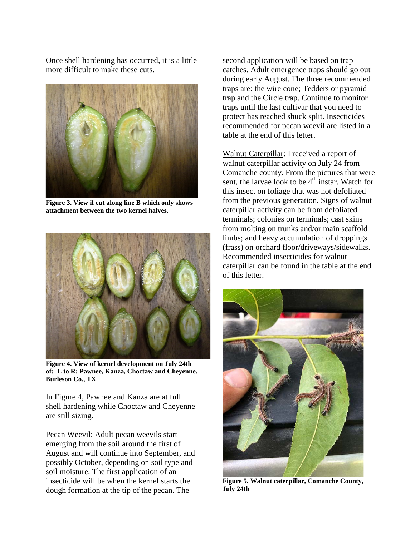Once shell hardening has occurred, it is a little more difficult to make these cuts.



**Figure 3. View if cut along line B which only shows attachment between the two kernel halves.**



**Figure 4. View of kernel development on July 24th of: L to R: Pawnee, Kanza, Choctaw and Cheyenne. Burleson Co., TX**

In Figure 4, Pawnee and Kanza are at full shell hardening while Choctaw and Cheyenne are still sizing.

Pecan Weevil: Adult pecan weevils start emerging from the soil around the first of August and will continue into September, and possibly October, depending on soil type and soil moisture. The first application of an insecticide will be when the kernel starts the dough formation at the tip of the pecan. The

second application will be based on trap catches. Adult emergence traps should go out during early August. The three recommended traps are: the wire cone; Tedders or pyramid trap and the Circle trap. Continue to monitor traps until the last cultivar that you need to protect has reached shuck split. Insecticides recommended for pecan weevil are listed in a table at the end of this letter.

Walnut Caterpillar: I received a report of walnut caterpillar activity on July 24 from Comanche county. From the pictures that were sent, the larvae look to be  $4<sup>th</sup>$  instar. Watch for this insect on foliage that was not defoliated from the previous generation. Signs of walnut caterpillar activity can be from defoliated terminals; colonies on terminals; cast skins from molting on trunks and/or main scaffold limbs; and heavy accumulation of droppings (frass) on orchard floor/driveways/sidewalks. Recommended insecticides for walnut caterpillar can be found in the table at the end of this letter.



**Figure 5. Walnut caterpillar, Comanche County, July 24th**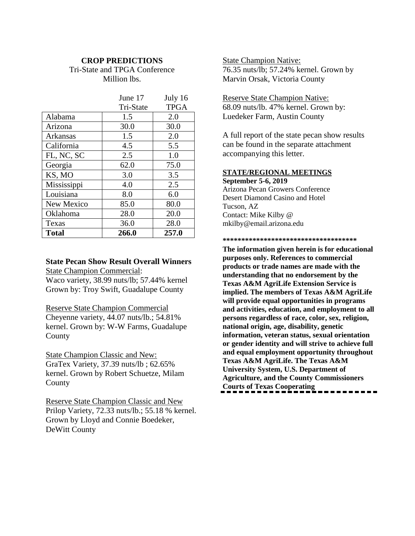### **CROP PREDICTIONS**

Tri-State and TPGA Conference Million lbs.

|              | June 17   | July 16     |
|--------------|-----------|-------------|
|              | Tri-State | <b>TPGA</b> |
| Alabama      | 1.5       | 2.0         |
| Arizona      | 30.0      | 30.0        |
| Arkansas     | 1.5       | 2.0         |
| California   | 4.5       | 5.5         |
| FL, NC, SC   | 2.5       | 1.0         |
| Georgia      | 62.0      | 75.0        |
| KS, MO       | 3.0       | 3.5         |
| Mississippi  | 4.0       | 2.5         |
| Louisiana    | 8.0       | 6.0         |
| New Mexico   | 85.0      | 80.0        |
| Oklahoma     | 28.0      | 20.0        |
| Texas        | 36.0      | 28.0        |
| <b>Total</b> | 266.0     | 257.0       |

## **State Pecan Show Result Overall Winners**

State Champion Commercial:

Waco variety, 38.99 nuts/lb; 57.44% kernel Grown by: Troy Swift, Guadalupe County

Reserve State Champion Commercial

Cheyenne variety, 44.07 nuts/lb.; 54.81% kernel. Grown by: W-W Farms, Guadalupe **County** 

State Champion Classic and New:

GraTex Variety, 37.39 nuts/lb ; 62.65% kernel. Grown by Robert Schuetze, Milam County

Reserve State Champion Classic and New Prilop Variety, 72.33 nuts/lb.; 55.18 % kernel. Grown by Lloyd and Connie Boedeker, DeWitt County

State Champion Native: 76.35 nuts/lb; 57.24% kernel. Grown by Marvin Orsak, Victoria County

Reserve State Champion Native: 68.09 nuts/lb. 47% kernel. Grown by: Luedeker Farm, Austin County

A full report of the state pecan show results can be found in the separate attachment accompanying this letter.

### **STATE/REGIONAL MEETINGS September 5-6, 2019**

Arizona Pecan Growers Conference Desert Diamond Casino and Hotel Tucson, AZ Contact: Mike Kilby @ mkilby@email.arizona.edu

### **\*\*\*\*\*\*\*\*\*\*\*\*\*\*\*\*\*\*\*\*\*\*\*\*\*\*\*\*\*\*\*\*\*\*\*\***

**The information given herein is for educational purposes only. References to commercial products or trade names are made with the understanding that no endorsement by the Texas A&M AgriLife Extension Service is implied. The members of Texas A&M AgriLife will provide equal opportunities in programs and activities, education, and employment to all persons regardless of race, color, sex, religion, national origin, age, disability, genetic information, veteran status, sexual orientation or gender identity and will strive to achieve full and equal employment opportunity throughout Texas A&M AgriLife. The Texas A&M University System, U.S. Department of Agriculture, and the County Commissioners Courts of Texas Cooperating**